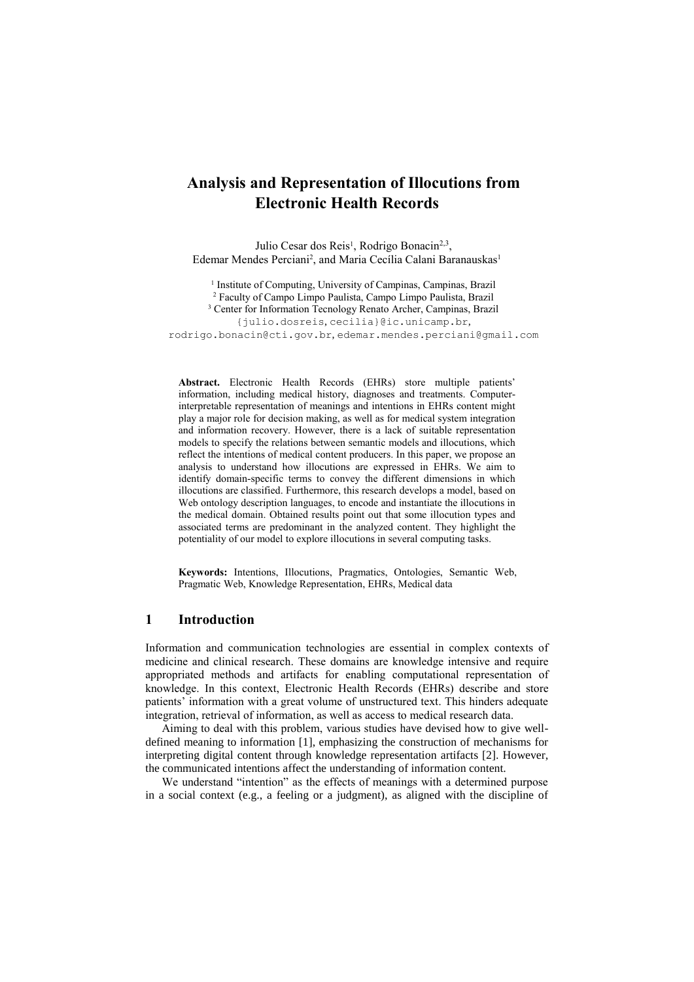# **Analysis and Representation of Illocutions from Electronic Health Records**

Julio Cesar dos Reis<sup>1</sup>, Rodrigo Bonacin<sup>2,3</sup>, Edemar Mendes Perciani<sup>2</sup>, and Maria Cecília Calani Baranauskas<sup>1</sup>

<sup>1</sup> Institute of Computing, University of Campinas, Campinas, Brazil <sup>2</sup> Faculty of Campo Limpo Paulista, Campo Limpo Paulista, Brazil <sup>3</sup> Center for Information Tecnology Renato Archer, Campinas, Brazil {julio.dosreis, cecilia}@ic.unicamp.br, rodrigo.bonacin@cti.gov.br, edemar.mendes.perciani@gmail.com

**Abstract.** Electronic Health Records (EHRs) store multiple patients' information, including medical history, diagnoses and treatments. Computerinterpretable representation of meanings and intentions in EHRs content might play a major role for decision making, as well as for medical system integration and information recovery. However, there is a lack of suitable representation models to specify the relations between semantic models and illocutions, which reflect the intentions of medical content producers. In this paper, we propose an analysis to understand how illocutions are expressed in EHRs. We aim to identify domain-specific terms to convey the different dimensions in which illocutions are classified. Furthermore, this research develops a model, based on Web ontology description languages, to encode and instantiate the illocutions in the medical domain. Obtained results point out that some illocution types and associated terms are predominant in the analyzed content. They highlight the potentiality of our model to explore illocutions in several computing tasks.

**Keywords:** Intentions, Illocutions, Pragmatics, Ontologies, Semantic Web, Pragmatic Web, Knowledge Representation, EHRs, Medical data

## **1 Introduction**

Information and communication technologies are essential in complex contexts of medicine and clinical research. These domains are knowledge intensive and require appropriated methods and artifacts for enabling computational representation of knowledge. In this context, Electronic Health Records (EHRs) describe and store patients' information with a great volume of unstructured text. This hinders adequate integration, retrieval of information, as well as access to medical research data.

Aiming to deal with this problem, various studies have devised how to give welldefined meaning to information [1], emphasizing the construction of mechanisms for interpreting digital content through knowledge representation artifacts [2]. However, the communicated intentions affect the understanding of information content.

We understand "intention" as the effects of meanings with a determined purpose in a social context (e.g., a feeling or a judgment), as aligned with the discipline of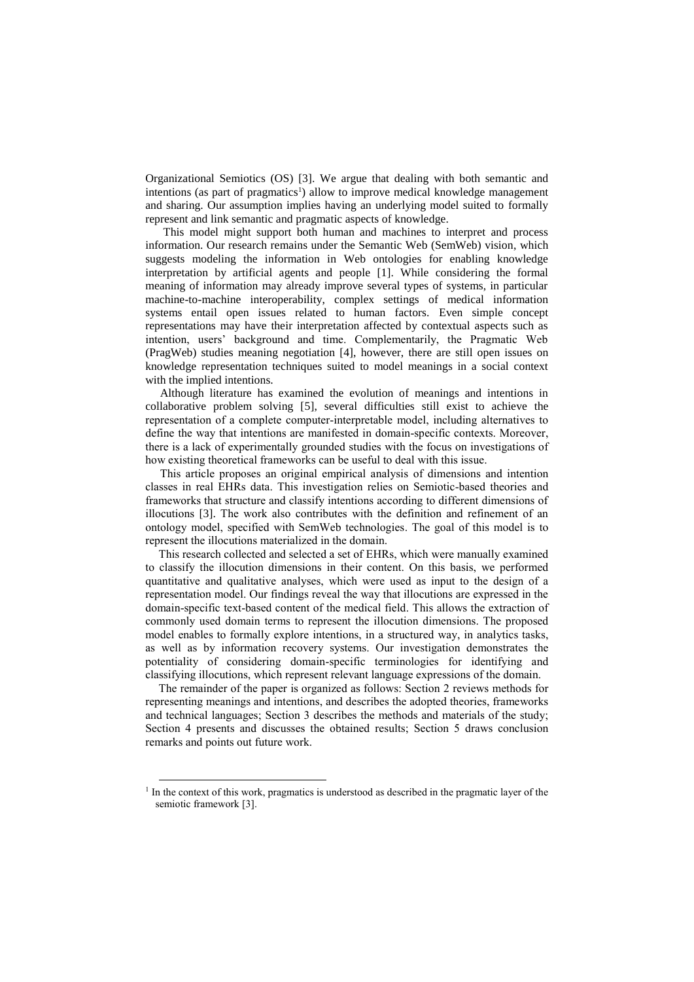Organizational Semiotics (OS) [3]. We argue that dealing with both semantic and intentions (as part of pragmatics 1 ) allow to improve medical knowledge management and sharing. Our assumption implies having an underlying model suited to formally represent and link semantic and pragmatic aspects of knowledge.

This model might support both human and machines to interpret and process information. Our research remains under the Semantic Web (SemWeb) vision, which suggests modeling the information in Web ontologies for enabling knowledge interpretation by artificial agents and people [1]. While considering the formal meaning of information may already improve several types of systems, in particular machine-to-machine interoperability, complex settings of medical information systems entail open issues related to human factors. Even simple concept representations may have their interpretation affected by contextual aspects such as intention, users' background and time. Complementarily, the Pragmatic Web (PragWeb) studies meaning negotiation [4], however, there are still open issues on knowledge representation techniques suited to model meanings in a social context with the implied intentions.

Although literature has examined the evolution of meanings and intentions in collaborative problem solving [5], several difficulties still exist to achieve the representation of a complete computer-interpretable model, including alternatives to define the way that intentions are manifested in domain-specific contexts. Moreover, there is a lack of experimentally grounded studies with the focus on investigations of how existing theoretical frameworks can be useful to deal with this issue.

This article proposes an original empirical analysis of dimensions and intention classes in real EHRs data. This investigation relies on Semiotic-based theories and frameworks that structure and classify intentions according to different dimensions of illocutions [3]. The work also contributes with the definition and refinement of an ontology model, specified with SemWeb technologies. The goal of this model is to represent the illocutions materialized in the domain.

This research collected and selected a set of EHRs, which were manually examined to classify the illocution dimensions in their content. On this basis, we performed quantitative and qualitative analyses, which were used as input to the design of a representation model. Our findings reveal the way that illocutions are expressed in the domain-specific text-based content of the medical field. This allows the extraction of commonly used domain terms to represent the illocution dimensions. The proposed model enables to formally explore intentions, in a structured way, in analytics tasks, as well as by information recovery systems. Our investigation demonstrates the potentiality of considering domain-specific terminologies for identifying and classifying illocutions, which represent relevant language expressions of the domain.

The remainder of the paper is organized as follows: Section 2 reviews methods for representing meanings and intentions, and describes the adopted theories, frameworks and technical languages; Section 3 describes the methods and materials of the study; Section 4 presents and discusses the obtained results; Section 5 draws conclusion remarks and points out future work.

-

<sup>&</sup>lt;sup>1</sup> In the context of this work, pragmatics is understood as described in the pragmatic layer of the semiotic framework [3].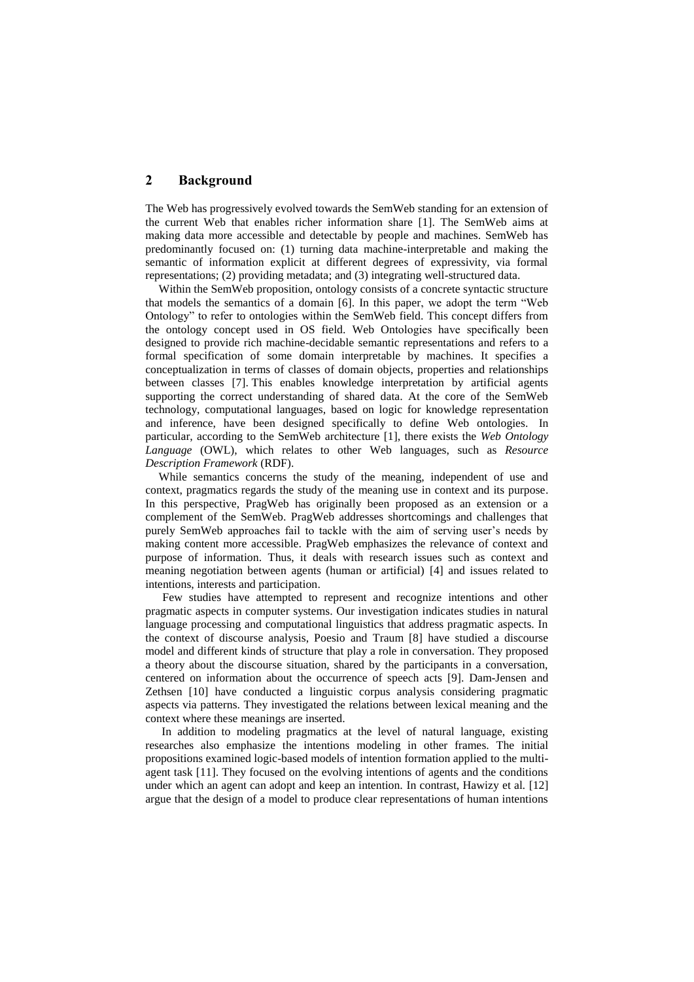## **2 Background**

The Web has progressively evolved towards the SemWeb standing for an extension of the current Web that enables richer information share [1]. The SemWeb aims at making data more accessible and detectable by people and machines. SemWeb has predominantly focused on: (1) turning data machine-interpretable and making the semantic of information explicit at different degrees of expressivity, via formal representations; (2) providing metadata; and (3) integrating well-structured data.

Within the SemWeb proposition, ontology consists of a concrete syntactic structure that models the semantics of a domain [6]. In this paper, we adopt the term "Web Ontology" to refer to ontologies within the SemWeb field. This concept differs from the ontology concept used in OS field. Web Ontologies have specifically been designed to provide rich machine-decidable semantic representations and refers to a formal specification of some domain interpretable by machines. It specifies a conceptualization in terms of classes of domain objects, properties and relationships between classes [7]. This enables knowledge interpretation by artificial agents supporting the correct understanding of shared data. At the core of the SemWeb technology, computational languages, based on logic for knowledge representation and inference, have been designed specifically to define Web ontologies. In particular, according to the SemWeb architecture [1], there exists the *Web Ontology Language* (OWL), which relates to other Web languages, such as *Resource Description Framework* (RDF).

While semantics concerns the study of the meaning, independent of use and context, pragmatics regards the study of the meaning use in context and its purpose. In this perspective, PragWeb has originally been proposed as an extension or a complement of the SemWeb. PragWeb addresses shortcomings and challenges that purely SemWeb approaches fail to tackle with the aim of serving user's needs by making content more accessible. PragWeb emphasizes the relevance of context and purpose of information. Thus, it deals with research issues such as context and meaning negotiation between agents (human or artificial) [4] and issues related to intentions, interests and participation.

Few studies have attempted to represent and recognize intentions and other pragmatic aspects in computer systems. Our investigation indicates studies in natural language processing and computational linguistics that address pragmatic aspects. In the context of discourse analysis, Poesio and Traum [8] have studied a discourse model and different kinds of structure that play a role in conversation. They proposed a theory about the discourse situation, shared by the participants in a conversation, centered on information about the occurrence of speech acts [9]. Dam-Jensen and Zethsen [10] have conducted a linguistic corpus analysis considering pragmatic aspects via patterns. They investigated the relations between lexical meaning and the context where these meanings are inserted.

In addition to modeling pragmatics at the level of natural language, existing researches also emphasize the intentions modeling in other frames. The initial propositions examined logic-based models of intention formation applied to the multiagent task [11]. They focused on the evolving intentions of agents and the conditions under which an agent can adopt and keep an intention. In contrast, Hawizy et al*.* [12] argue that the design of a model to produce clear representations of human intentions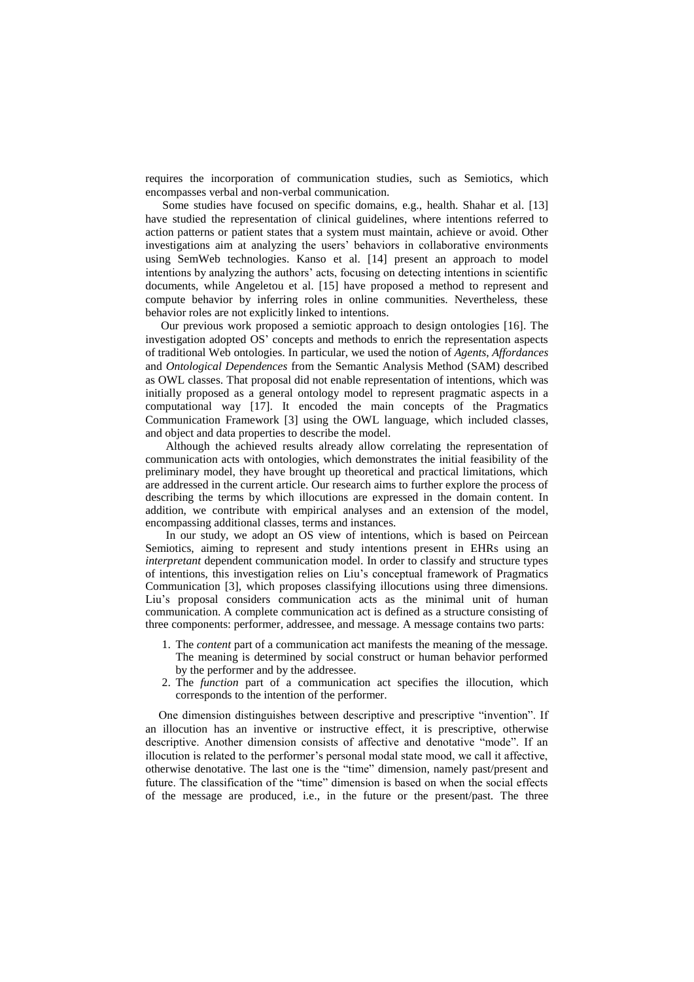requires the incorporation of communication studies, such as Semiotics, which encompasses verbal and non-verbal communication.

Some studies have focused on specific domains, e.g., health. Shahar et al. [13] have studied the representation of clinical guidelines, where intentions referred to action patterns or patient states that a system must maintain, achieve or avoid. Other investigations aim at analyzing the users' behaviors in collaborative environments using SemWeb technologies. Kanso et al. [14] present an approach to model intentions by analyzing the authors' acts, focusing on detecting intentions in scientific documents, while Angeletou et al. [15] have proposed a method to represent and compute behavior by inferring roles in online communities. Nevertheless, these behavior roles are not explicitly linked to intentions.

Our previous work proposed a semiotic approach to design ontologies [16]. The investigation adopted OS' concepts and methods to enrich the representation aspects of traditional Web ontologies. In particular, we used the notion of *Agents*, *Affordances* and *Ontological Dependences* from the Semantic Analysis Method (SAM) described as OWL classes. That proposal did not enable representation of intentions, which was initially proposed as a general ontology model to represent pragmatic aspects in a computational way [17]. It encoded the main concepts of the Pragmatics Communication Framework [3] using the OWL language, which included classes, and object and data properties to describe the model.

Although the achieved results already allow correlating the representation of communication acts with ontologies, which demonstrates the initial feasibility of the preliminary model, they have brought up theoretical and practical limitations, which are addressed in the current article. Our research aims to further explore the process of describing the terms by which illocutions are expressed in the domain content. In addition, we contribute with empirical analyses and an extension of the model, encompassing additional classes, terms and instances.

In our study, we adopt an OS view of intentions, which is based on Peircean Semiotics, aiming to represent and study intentions present in EHRs using an *interpretant* dependent communication model. In order to classify and structure types of intentions, this investigation relies on Liu's conceptual framework of Pragmatics Communication [3], which proposes classifying illocutions using three dimensions. Liu's proposal considers communication acts as the minimal unit of human communication. A complete communication act is defined as a structure consisting of three components: performer, addressee, and message. A message contains two parts:

- 1. The *content* part of a communication act manifests the meaning of the message. The meaning is determined by social construct or human behavior performed by the performer and by the addressee.
- 2. The *function* part of a communication act specifies the illocution, which corresponds to the intention of the performer.

One dimension distinguishes between descriptive and prescriptive "invention". If an illocution has an inventive or instructive effect, it is prescriptive, otherwise descriptive. Another dimension consists of affective and denotative "mode". If an illocution is related to the performer's personal modal state mood, we call it affective, otherwise denotative. The last one is the "time" dimension, namely past/present and future. The classification of the "time" dimension is based on when the social effects of the message are produced, i.e., in the future or the present/past. The three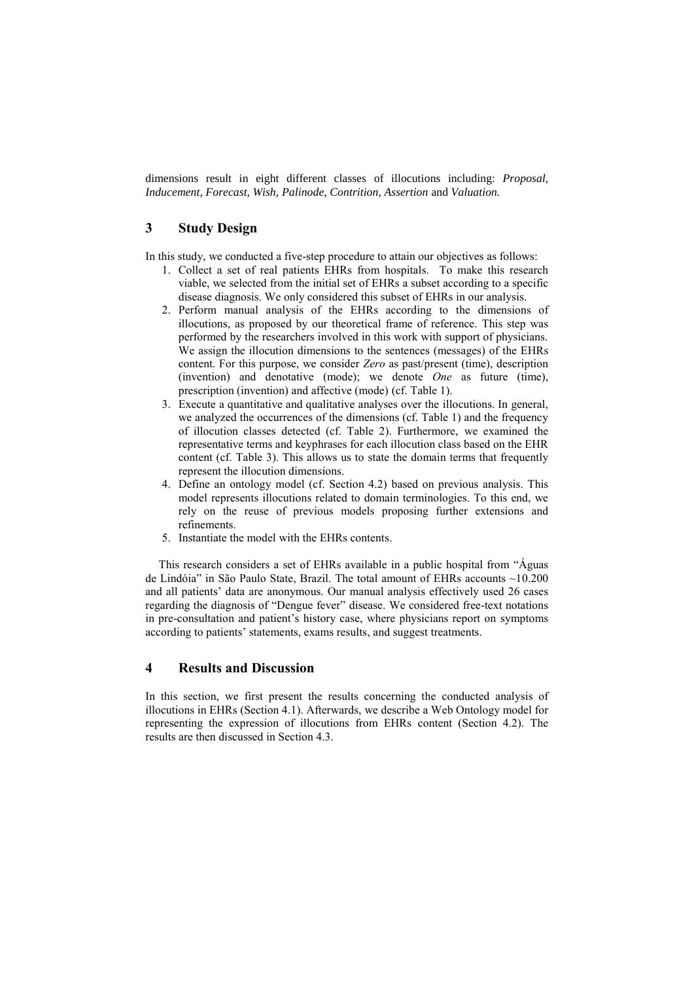dimensions result in eight different classes of illocutions including: *Proposal, Inducement, Forecast, Wish, Palinode, Contrition, Assertion* and *Valuation.*

## **3 Study Design**

In this study, we conducted a five-step procedure to attain our objectives as follows:

- 1. Collect a set of real patients EHRs from hospitals. To make this research viable, we selected from the initial set of EHRs a subset according to a specific disease diagnosis. We only considered this subset of EHRs in our analysis.
- 2. Perform manual analysis of the EHRs according to the dimensions of illocutions, as proposed by our theoretical frame of reference. This step was performed by the researchers involved in this work with support of physicians. We assign the illocution dimensions to the sentences (messages) of the EHRs content. For this purpose, we consider *Zero* as past/present (time), description (invention) and denotative (mode); we denote *One* as future (time), prescription (invention) and affective (mode) (cf. Table 1).
- 3. Execute a quantitative and qualitative analyses over the illocutions. In general, we analyzed the occurrences of the dimensions (cf. Table 1) and the frequency of illocution classes detected (cf. Table 2). Furthermore, we examined the representative terms and keyphrases for each illocution class based on the EHR content (cf. Table 3). This allows us to state the domain terms that frequently represent the illocution dimensions.
- 4. Define an ontology model (cf. Section 4.2) based on previous analysis. This model represents illocutions related to domain terminologies. To this end, we rely on the reuse of previous models proposing further extensions and refinements.
- 5. Instantiate the model with the EHRs contents.

This research considers a set of EHRs available in a public hospital from "Águas de Lindóia" in São Paulo State, Brazil. The total amount of EHRs accounts ~10.200 and all patients' data are anonymous. Our manual analysis effectively used 26 cases regarding the diagnosis of "Dengue fever" disease. We considered free-text notations in pre-consultation and patient's history case, where physicians report on symptoms according to patients' statements, exams results, and suggest treatments.

## **4 Results and Discussion**

In this section, we first present the results concerning the conducted analysis of illocutions in EHRs (Section 4.1). Afterwards, we describe a Web Ontology model for representing the expression of illocutions from EHRs content (Section 4.2). The results are then discussed in Section 4.3.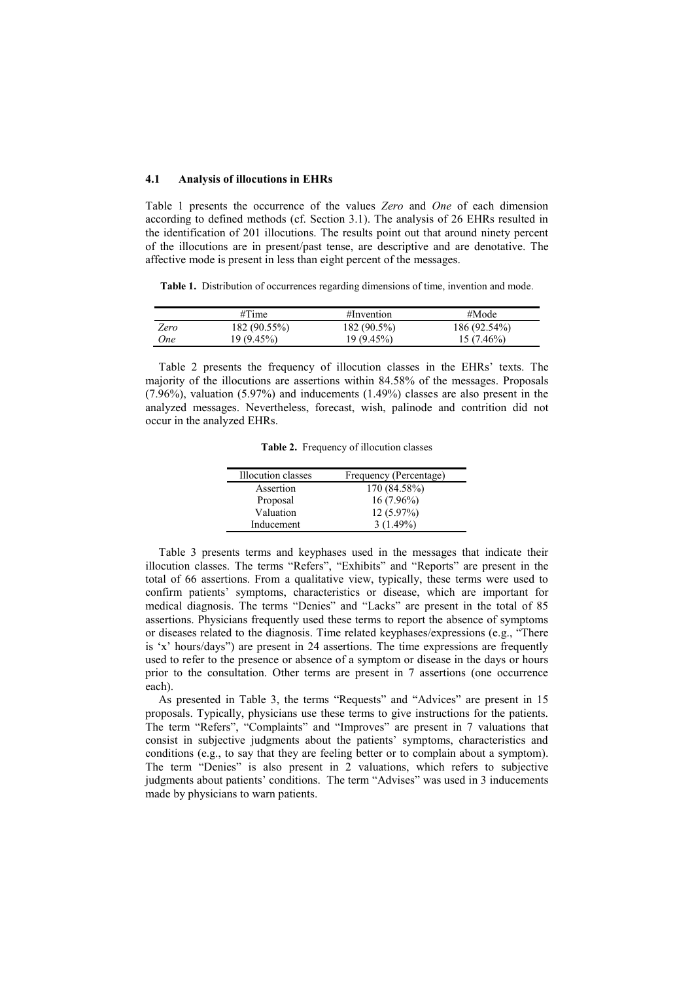#### **4.1 Analysis of illocutions in EHRs**

Table 1 presents the occurrence of the values *Zero* and *One* of each dimension according to defined methods (cf. Section 3.1). The analysis of 26 EHRs resulted in the identification of 201 illocutions. The results point out that around ninety percent of the illocutions are in present/past tense, are descriptive and are denotative. The affective mode is present in less than eight percent of the messages.

**Table 1.** Distribution of occurrences regarding dimensions of time, invention and mode.

|      | #Time        | #Invention  | #Mode        |
|------|--------------|-------------|--------------|
| Zero | 182 (90.55%) | 182 (90.5%) | 186 (92.54%) |
| One  | 19 (9.45%)   | 19 (9.45%)  | 15 (7.46%)   |

Table 2 presents the frequency of illocution classes in the EHRs' texts. The majority of the illocutions are assertions within 84.58% of the messages. Proposals (7.96%), valuation (5.97%) and inducements (1.49%) classes are also present in the analyzed messages. Nevertheless, forecast, wish, palinode and contrition did not occur in the analyzed EHRs.

**Table 2.** Frequency of illocution classes

| Illocution classes | Frequency (Percentage) |  |
|--------------------|------------------------|--|
| Assertion          | 170 (84.58%)           |  |
| Proposal           | $16(7.96\%)$           |  |
| Valuation          | 12 (5.97%)             |  |
| Inducement         | 3(1.49%)               |  |

Table 3 presents terms and keyphases used in the messages that indicate their illocution classes. The terms "Refers", "Exhibits" and "Reports" are present in the total of 66 assertions. From a qualitative view, typically, these terms were used to confirm patients' symptoms, characteristics or disease, which are important for medical diagnosis. The terms "Denies" and "Lacks" are present in the total of 85 assertions. Physicians frequently used these terms to report the absence of symptoms or diseases related to the diagnosis. Time related keyphases/expressions (e.g., "There is 'x' hours/days") are present in 24 assertions. The time expressions are frequently used to refer to the presence or absence of a symptom or disease in the days or hours prior to the consultation. Other terms are present in 7 assertions (one occurrence each).

As presented in Table 3, the terms "Requests" and "Advices" are present in 15 proposals. Typically, physicians use these terms to give instructions for the patients. The term "Refers", "Complaints" and "Improves" are present in 7 valuations that consist in subjective judgments about the patients' symptoms, characteristics and conditions (e.g., to say that they are feeling better or to complain about a symptom). The term "Denies" is also present in 2 valuations, which refers to subjective judgments about patients' conditions. The term "Advises" was used in 3 inducements made by physicians to warn patients.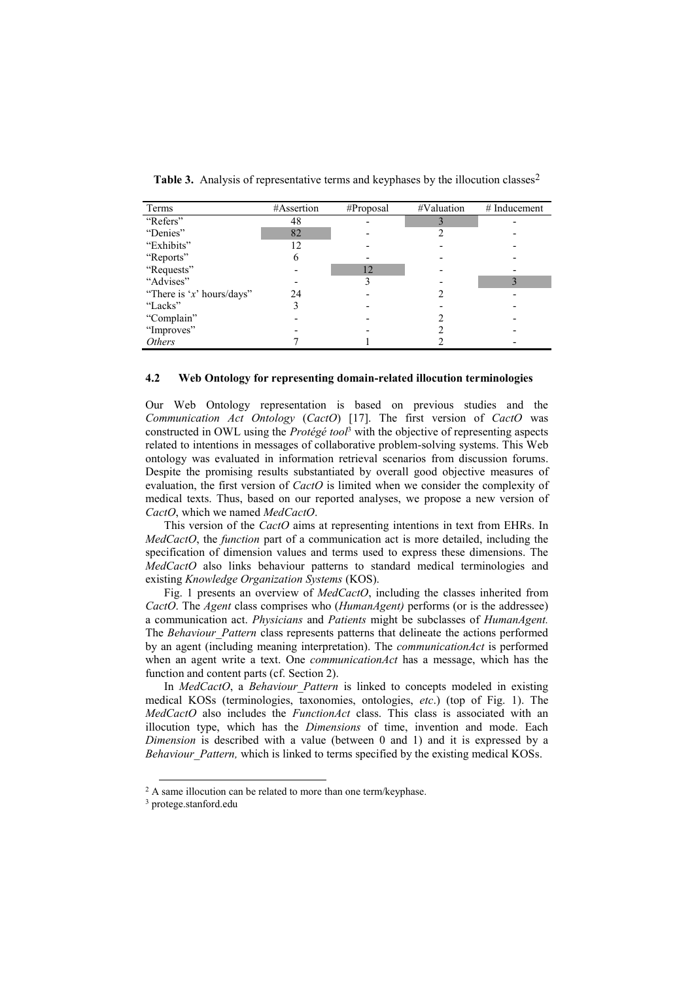| Terms                     | #Assertion | #Proposal | #Valuation | # Inducement |
|---------------------------|------------|-----------|------------|--------------|
| "Refers"                  | 48         |           |            |              |
| "Denies"                  | 82         |           |            |              |
| "Exhibits"                | 12         |           |            |              |
| "Reports"                 | n          |           |            |              |
| "Requests"                |            | 12        |            |              |
| "Advises"                 |            |           |            |              |
| "There is 'x' hours/days" | 24         |           |            |              |
| "Lacks"                   |            |           |            |              |
| "Complain"                |            |           |            |              |
| "Improves"                |            |           |            |              |
| <i>Others</i>             |            |           |            |              |

**Table 3.** Analysis of representative terms and keyphases by the illocution classes<sup>2</sup>

## **4.2 Web Ontology for representing domain-related illocution terminologies**

Our Web Ontology representation is based on previous studies and the *Communication Act Ontology* (*CactO*) [17]. The first version of *CactO* was constructed in OWL using the *Protégé tool*<sup>3</sup> with the objective of representing aspects related to intentions in messages of collaborative problem-solving systems. This Web ontology was evaluated in information retrieval scenarios from discussion forums. Despite the promising results substantiated by overall good objective measures of evaluation, the first version of *CactO* is limited when we consider the complexity of medical texts. Thus, based on our reported analyses, we propose a new version of *CactO*, which we named *MedCactO*.

This version of the *CactO* aims at representing intentions in text from EHRs. In *MedCactO*, the *function* part of a communication act is more detailed, including the specification of dimension values and terms used to express these dimensions. The *MedCactO* also links behaviour patterns to standard medical terminologies and existing *Knowledge Organization Systems* (KOS).

Fig. 1 presents an overview of *MedCactO*, including the classes inherited from *CactO*. The *Agent* class comprises who (*HumanAgent)* performs (or is the addressee) a communication act. *Physicians* and *Patients* might be subclasses of *HumanAgent.* The *Behaviour Pattern* class represents patterns that delineate the actions performed by an agent (including meaning interpretation). The *communicationAct* is performed when an agent write a text. One *communicationAct* has a message, which has the function and content parts (cf. Section 2).

In *MedCactO*, a *Behaviour Pattern* is linked to concepts modeled in existing medical KOSs (terminologies, taxonomies, ontologies, *etc*.) (top of Fig. 1). The *MedCactO* also includes the *FunctionAct* class. This class is associated with an illocution type, which has the *Dimensions* of time, invention and mode. Each *Dimension* is described with a value (between 0 and 1) and it is expressed by a *Behaviour Pattern,* which is linked to terms specified by the existing medical KOSs.

1

<sup>&</sup>lt;sup>2</sup> A same illocution can be related to more than one term/keyphase.

<sup>3</sup> protege.stanford.edu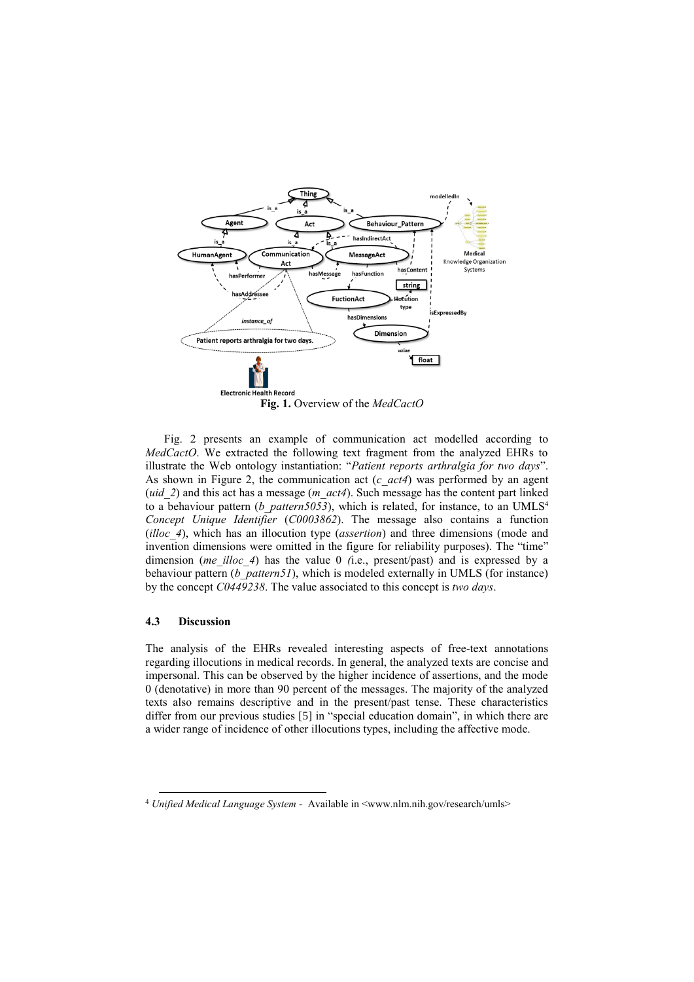

Fig. 2 presents an example of communication act modelled according to *MedCactO*. We extracted the following text fragment from the analyzed EHRs to illustrate the Web ontology instantiation: "*Patient reports arthralgia for two days*". As shown in Figure 2, the communication act (*c\_act4*) was performed by an agent (*uid\_2*) and this act has a message (*m\_act4*). Such message has the content part linked to a behaviour pattern (*b pattern5053*), which is related, for instance, to an UMLS<sup>4</sup> *Concept Unique Identifier* (*C0003862*). The message also contains a function (*illoc\_4*), which has an illocution type (*assertion*) and three dimensions (mode and invention dimensions were omitted in the figure for reliability purposes). The "time" dimension (*me\_illoc\_4*) has the value 0 *(*i.e., present/past) and is expressed by a behaviour pattern (*b\_pattern51*), which is modeled externally in UMLS (for instance) by the concept *C0449238*. The value associated to this concept is *two days*.

#### **4.3 Discussion**

1

The analysis of the EHRs revealed interesting aspects of free-text annotations regarding illocutions in medical records. In general, the analyzed texts are concise and impersonal. This can be observed by the higher incidence of assertions, and the mode 0 (denotative) in more than 90 percent of the messages. The majority of the analyzed texts also remains descriptive and in the present/past tense. These characteristics differ from our previous studies [5] in "special education domain", in which there are a wider range of incidence of other illocutions types, including the affective mode.

<sup>4</sup> *Unified Medical Language System* - Available in <www.nlm.nih.gov/research/umls>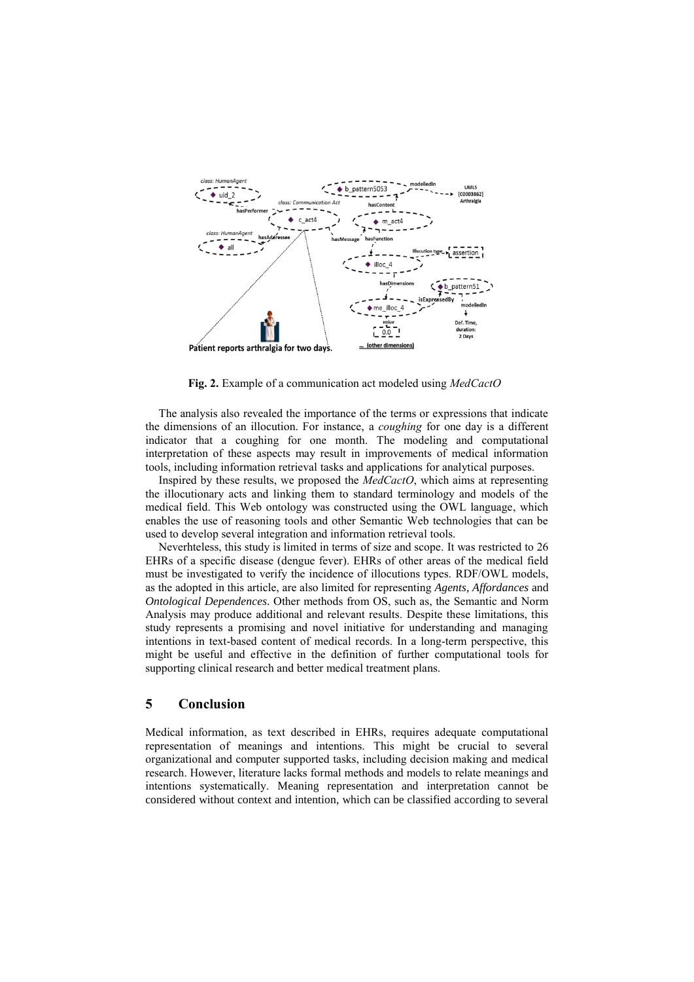

**Fig. 2.** Example of a communication act modeled using *MedCactO*

The analysis also revealed the importance of the terms or expressions that indicate the dimensions of an illocution. For instance, a *coughing* for one day is a different indicator that a coughing for one month. The modeling and computational interpretation of these aspects may result in improvements of medical information tools, including information retrieval tasks and applications for analytical purposes.

Inspired by these results, we proposed the *MedCactO*, which aims at representing the illocutionary acts and linking them to standard terminology and models of the medical field. This Web ontology was constructed using the OWL language, which enables the use of reasoning tools and other Semantic Web technologies that can be used to develop several integration and information retrieval tools.

Neverhteless, this study is limited in terms of size and scope. It was restricted to 26 EHRs of a specific disease (dengue fever). EHRs of other areas of the medical field must be investigated to verify the incidence of illocutions types. RDF/OWL models, as the adopted in this article, are also limited for representing *Agents*, *Affordances* and *Ontological Dependences*. Other methods from OS, such as, the Semantic and Norm Analysis may produce additional and relevant results. Despite these limitations, this study represents a promising and novel initiative for understanding and managing intentions in text-based content of medical records. In a long-term perspective, this might be useful and effective in the definition of further computational tools for supporting clinical research and better medical treatment plans.

#### **5 Conclusion**

Medical information, as text described in EHRs, requires adequate computational representation of meanings and intentions. This might be crucial to several organizational and computer supported tasks, including decision making and medical research. However, literature lacks formal methods and models to relate meanings and intentions systematically. Meaning representation and interpretation cannot be considered without context and intention, which can be classified according to several